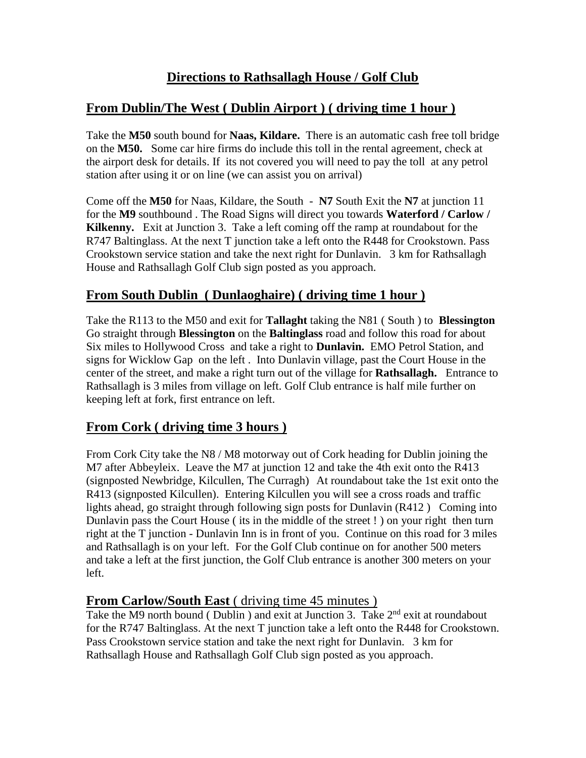# **From Dublin/The West ( Dublin Airport ) ( driving time 1 hour )**

Take the **M50** south bound for **Naas, Kildare.** There is an automatic cash free toll bridge on the **M50.** Some car hire firms do include this toll in the rental agreement, check at the airport desk for details. If its not covered you will need to pay the toll at any petrol station after using it or on line (we can assist you on arrival)

Come off the **M50** for Naas, Kildare, the South - **N7** South Exit the **N7** at junction 11 for the **M9** southbound . The Road Signs will direct you towards **Waterford / Carlow / Kilkenny.** Exit at Junction 3. Take a left coming off the ramp at roundabout for the R747 Baltinglass. At the next T junction take a left onto the R448 for Crookstown. Pass Crookstown service station and take the next right for Dunlavin. 3 km for Rathsallagh House and Rathsallagh Golf Club sign posted as you approach.

# **From South Dublin ( Dunlaoghaire) ( driving time 1 hour )**

Take the R113 to the M50 and exit for **Tallaght** taking the N81 ( South ) to **Blessington** Go straight through **Blessington** on the **Baltinglass** road and follow this road for about Six miles to Hollywood Cross and take a right to **Dunlavin.** EMO Petrol Station, and signs for Wicklow Gap on the left . Into Dunlavin village, past the Court House in the center of the street, and make a right turn out of the village for **Rathsallagh.** Entrance to Rathsallagh is 3 miles from village on left. Golf Club entrance is half mile further on keeping left at fork, first entrance on left.

# **From Cork ( driving time 3 hours )**

From Cork City take the N8 / M8 motorway out of Cork heading for Dublin joining the M7 after Abbeyleix. Leave the M7 at junction 12 and take the 4th exit onto the R413 (signposted Newbridge, Kilcullen, The Curragh) At roundabout take the 1st exit onto the R413 (signposted Kilcullen). Entering Kilcullen you will see a cross roads and traffic lights ahead, go straight through following sign posts for Dunlavin (R412 ) Coming into Dunlavin pass the Court House ( its in the middle of the street ! ) on your right then turn right at the T junction - Dunlavin Inn is in front of you. Continue on this road for 3 miles and Rathsallagh is on your left. For the Golf Club continue on for another 500 meters and take a left at the first junction, the Golf Club entrance is another 300 meters on your left.

### **From Carlow/South East** (driving time 45 minutes)

Take the M9 north bound (Dublin) and exit at Junction 3. Take 2<sup>nd</sup> exit at roundabout for the R747 Baltinglass. At the next T junction take a left onto the R448 for Crookstown. Pass Crookstown service station and take the next right for Dunlavin. 3 km for Rathsallagh House and Rathsallagh Golf Club sign posted as you approach.